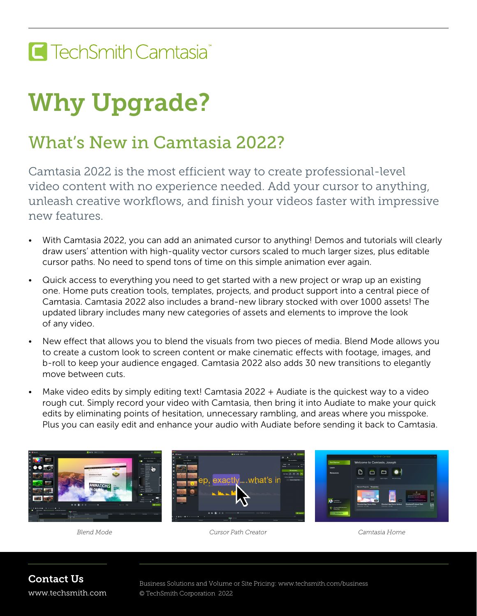## E TechSmith Camtasia<sup>®</sup>

## Why Upgrade?

## What's New in Camtasia 2022?

Camtasia 2022 is the most efficient way to create professional-level video content with no experience needed. Add your cursor to anything, unleash creative workflows, and finish your videos faster with impressive new features.

- *•* With Camtasia 2022, you can add an animated cursor to anything! Demos and tutorials will clearly draw users' attention with high-quality vector cursors scaled to much larger sizes, plus editable cursor paths. No need to spend tons of time on this simple animation ever again.
- *•* Quick access to everything you need to get started with a new project or wrap up an existing one. Home puts creation tools, templates, projects, and product support into a central piece of Camtasia. Camtasia 2022 also includes a brand-new library stocked with over 1000 assets! The updated library includes many new categories of assets and elements to improve the look of any video.
- *•* New effect that allows you to blend the visuals from two pieces of media. Blend Mode allows you to create a custom look to screen content or make cinematic effects with footage, images, and b-roll to keep your audience engaged. Camtasia 2022 also adds 30 new transitions to elegantly move between cuts.
- *•* Make video edits by simply editing text! Camtasia 2022 + Audiate is the quickest way to a video rough cut. Simply record your video with Camtasia, then bring it into Audiate to make your quick edits by eliminating points of hesitation, unnecessary rambling, and areas where you misspoke. Plus you can easily edit and enhance your audio with Audiate before sending it back to Camtasia.



*Blend Mode Cursor Path Creator Camtasia Home*